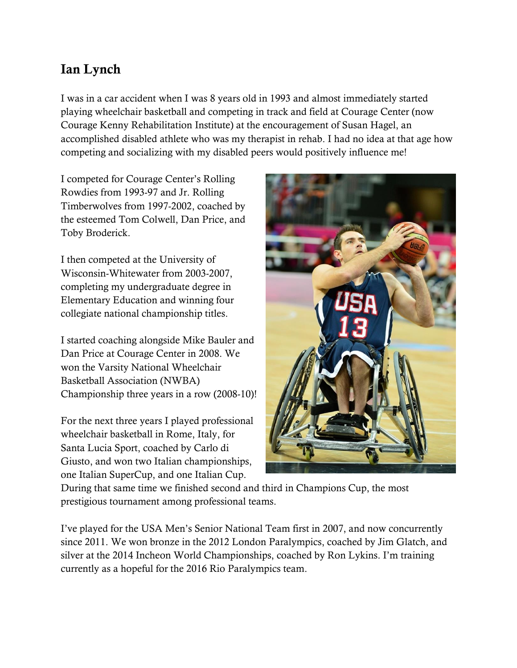## **Ian Lynch**

I was in a car accident when I was 8 years old in 1993 and almost immediately started playing wheelchair basketball and competing in track and field at Courage Center (now Courage Kenny Rehabilitation Institute) at the encouragement of Susan Hagel, an accomplished disabled athlete who was my therapist in rehab. I had no idea at that age how competing and socializing with my disabled peers would positively influence me!

I competed for Courage Center's Rolling Rowdies from 1993-97 and Jr. Rolling Timberwolves from 1997-2002, coached by the esteemed Tom Colwell, Dan Price, and Toby Broderick.

I then competed at the University of Wisconsin-Whitewater from 2003-2007, completing my undergraduate degree in Elementary Education and winning four collegiate national championship titles.

I started coaching alongside Mike Bauler and Dan Price at Courage Center in 2008. We won the Varsity National Wheelchair Basketball Association (NWBA) Championship three years in a row (2008-10)!

For the next three years I played professional wheelchair basketball in Rome, Italy, for Santa Lucia Sport, coached by Carlo di Giusto, and won two Italian championships, one Italian SuperCup, and one Italian Cup.



During that same time we finished second and third in Champions Cup, the most prestigious tournament among professional teams.

I've played for the USA Men's Senior National Team first in 2007, and now concurrently since 2011. We won bronze in the 2012 London Paralympics, coached by Jim Glatch, and silver at the 2014 Incheon World Championships, coached by Ron Lykins. I'm training currently as a hopeful for the 2016 Rio Paralympics team.